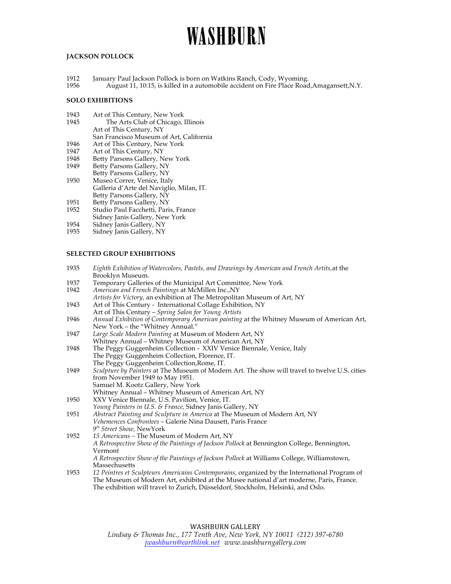# WASHBURN

## **JACKSON POLLOCK**

- 1912 January Paul Jackson Pollock is born on Watkins Ranch, Cody, Wyoming.<br>1956 **1988 August 11, 10:15, is killed in a automobile accident on Fire Place Road**
- August 11, 10:15, is killed in a automobile accident on Fire Place Road,Amagansett,N.Y.

#### **SOLO EXHIBITIONS**

- 1943 Art of This Century, New York
- 1945 The Arts Club of Chicago, Illinois
- Art of This Century, NY
- San Francisco Museum of Art, California
- 1946 Art of This Century, New York
- 1947 Art of This Century, NY<br>1948 Betty Parsons Gallery, N
- 1948 Betty Parsons Gallery, New York<br>1949 Betty Parsons Gallery, NY
- Betty Parsons Gallery, NY Betty Parsons Gallery, NY
- 1950 Museo Correr, Venice, Italy Galleria d'Arte del Naviglio, Milan, IT. Betty Parsons Gallery, NY
- 
- 1951 Betty Parsons Gallery, NY<br>1952 Studio Paul Facchetti, Pari Studio Paul Facchetti, Paris, France
- Sidney Janis Gallery, New York
- 
- 1954 Sidney Janis Gallery, NY<br>1955 Sidney Janis Gallery, NY Sidney Janis Gallery, NY

## **SELECTED GROUP EXHIBITIONS**

- 1935 *Eighth Exhibition of Watercolors, Pastels, and Drawings by American and French Artits,*at the Brooklyn Museum.
- 1937 Temporary Galleries of the Municipal Art Committee, New York<br>1942 American and French Paintings at McMillen Inc., NY
- 1942 *American and French Paintings* at McMillen Inc.,NY
- *Artists for Victory,* an exhibition at The Metropolitan Museum of Art, NY 1943 Art of This Century - International Collage Exhibition, NY
- Art of This Century *Spring Salon for Young Artists*
- 1946 *Annual Exhibition of Contemporary American painting* at the Whitney Museum of American Art, New York – the "Whitney Annual."
- 1947 *Large Scale Modern Painting* at Museum of Modern Art, NY Whitney Annual – Whitney Museum of American Art, NY
- 1948 The Peggy Guggenheim Collection XXIV Venice Biennale, Venice, Italy The Peggy Guggenheim Collection, Florence, IT. The Peggy Guggenheim Collection,Rome, IT.
- 1949 *Sculpture by Painters* at The Museum of Modern Art. The show will travel to twelve U.S. cities from November 1949 to May 1951. Samuel M. Kootz Gallery, New York Whitney Annual – Whitney Museum of American Art, NY
- 1950 XXV Venice Biennale, U.S. Pavilion, Venice, IT.
- *Young Painters in U.S. & France,* Sidney Janis Gallery, NY 1951 *Abstract Painting and Sculpture in America* at The Museum of Modern Art, NY *Vehemences Confrontees –* Galerie Nina Dausett, Paris France *9th Street Show,* NewYork
- 1952 *15 Americans –* The Museum of Modern Art, NY *A Retrospective Show of the Paintings of Jackson Pollock* at Bennington College, Bennington, Vermont *A Retrospective Show of the Paintings of Jackson Pollock* at Williams College, Williamstown, Massechusetts
- 1953 *12 Peintres et Sculpteurs Americains Contemporains,* organized by the International Program of The Museum of Modern Art, exhibited at the Musee national d'art moderne, Paris, France. The exhibition will travel to Zurich, Düsseldorf, Stockholm, Helsinki, and Oslo.

## WASHBURN GALLERY

*Lindsay & Thomas Inc., 177 Tenth Ave, New York, NY 10011 (212) 397-6780 jwashburn@earthlink.net www.washburngallery.com*